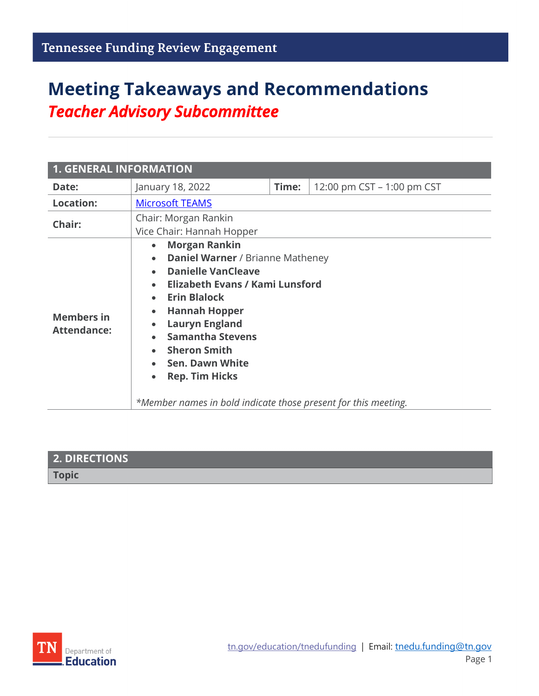# **Meeting Takeaways and Recommendations** *Teacher Advisory Subcommittee*

| <b>1. GENERAL INFORMATION</b>           |                                                                                                                                                                                                                                                                                                                                                                                                                                              |       |                            |
|-----------------------------------------|----------------------------------------------------------------------------------------------------------------------------------------------------------------------------------------------------------------------------------------------------------------------------------------------------------------------------------------------------------------------------------------------------------------------------------------------|-------|----------------------------|
| Date:                                   | January 18, 2022                                                                                                                                                                                                                                                                                                                                                                                                                             | Time: | 12:00 pm CST – 1:00 pm CST |
| <b>Location:</b>                        | <b>Microsoft TEAMS</b>                                                                                                                                                                                                                                                                                                                                                                                                                       |       |                            |
| Chair:                                  | Chair: Morgan Rankin<br>Vice Chair: Hannah Hopper                                                                                                                                                                                                                                                                                                                                                                                            |       |                            |
| <b>Members in</b><br><b>Attendance:</b> | <b>Morgan Rankin</b><br>$\bullet$<br>• Daniel Warner / Brianne Matheney<br><b>Danielle VanCleave</b><br>• Elizabeth Evans / Kami Lunsford<br><b>Erin Blalock</b><br>$\bullet$<br><b>Hannah Hopper</b><br>$\bullet$<br><b>Lauryn England</b><br>$\bullet$<br><b>Samantha Stevens</b><br><b>Sheron Smith</b><br><b>Sen. Dawn White</b><br><b>Rep. Tim Hicks</b><br>$\bullet$<br>*Member names in bold indicate those present for this meeting. |       |                            |

| 2. DIRECTIONS |  |
|---------------|--|
| <b>Topic</b>  |  |

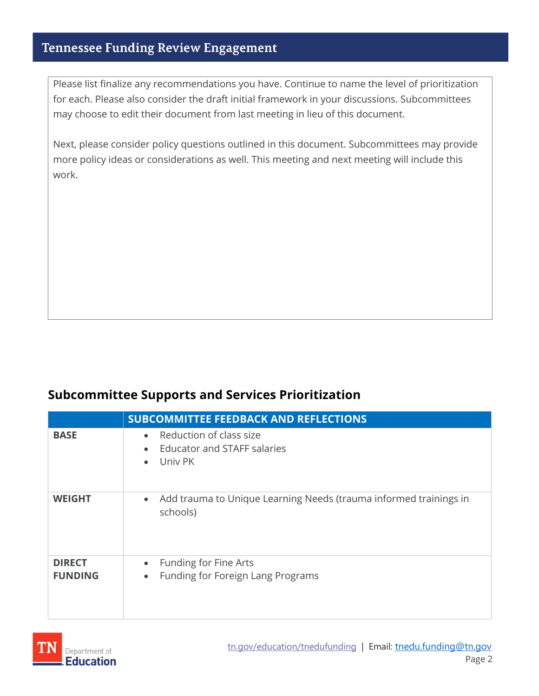Please list finalize any recommendations you have. Continue to name the level of prioritization for each. Please also consider the draft initial framework in your discussions. Subcommittees may choose to edit their document from last meeting in lieu of this document.

Next, please consider policy questions outlined in this document. Subcommittees may provide more policy ideas or considerations as well. This meeting and next meeting will include this work.

#### **Subcommittee Supports and Services Prioritization**

|                                 | <b>SUBCOMMITTEE FEEDBACK AND REFLECTIONS</b>                                                                    |
|---------------------------------|-----------------------------------------------------------------------------------------------------------------|
| <b>BASE</b>                     | Reduction of class size<br>$\bullet$<br><b>Educator and STAFF salaries</b><br>$\bullet$<br>Univ PK<br>$\bullet$ |
| <b>WEIGHT</b>                   | Add trauma to Unique Learning Needs (trauma informed trainings in<br>$\bullet$<br>schools)                      |
| <b>DIRECT</b><br><b>FUNDING</b> | Funding for Fine Arts<br>$\bullet$<br>Funding for Foreign Lang Programs<br>$\bullet$                            |

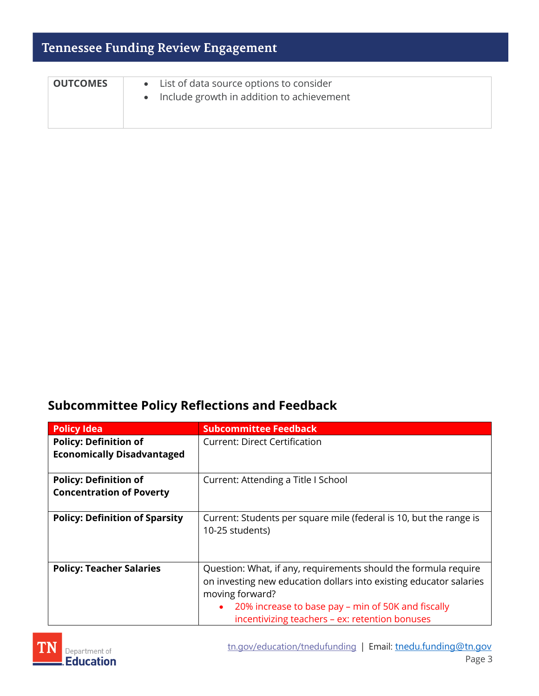| <b>OUTCOMES</b> | • List of data source options to consider<br>Include growth in addition to achievement<br>$\bullet$ |
|-----------------|-----------------------------------------------------------------------------------------------------|
|                 |                                                                                                     |

### **Subcommittee Policy Reflections and Feedback**

| <b>Policy Idea</b>                                                | <b>Subcommittee Feedback</b>                                                                                                                                                                                                                                     |
|-------------------------------------------------------------------|------------------------------------------------------------------------------------------------------------------------------------------------------------------------------------------------------------------------------------------------------------------|
| <b>Policy: Definition of</b><br><b>Economically Disadvantaged</b> | <b>Current: Direct Certification</b>                                                                                                                                                                                                                             |
| <b>Policy: Definition of</b><br><b>Concentration of Poverty</b>   | Current: Attending a Title I School                                                                                                                                                                                                                              |
| <b>Policy: Definition of Sparsity</b>                             | Current: Students per square mile (federal is 10, but the range is<br>10-25 students)                                                                                                                                                                            |
| <b>Policy: Teacher Salaries</b>                                   | Question: What, if any, requirements should the formula require<br>on investing new education dollars into existing educator salaries<br>moving forward?<br>20% increase to base pay – min of 50K and fiscally<br>incentivizing teachers - ex: retention bonuses |

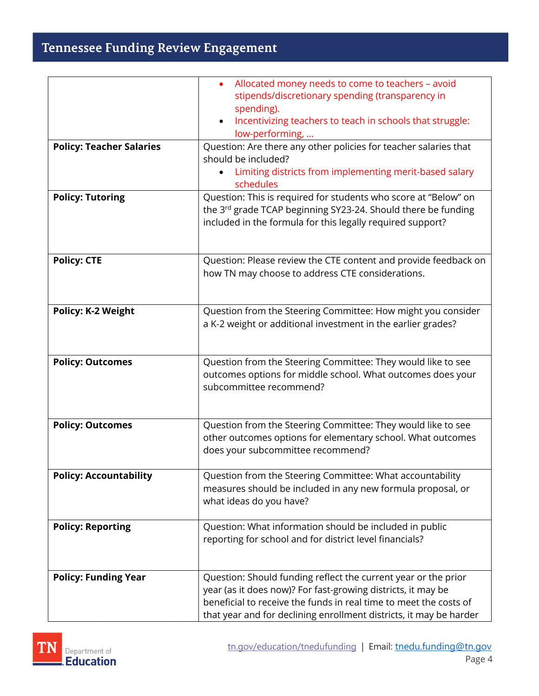|                                 | Allocated money needs to come to teachers - avoid<br>stipends/discretionary spending (transparency in                                                                                                                                                                     |
|---------------------------------|---------------------------------------------------------------------------------------------------------------------------------------------------------------------------------------------------------------------------------------------------------------------------|
|                                 | spending).<br>Incentivizing teachers to teach in schools that struggle:<br>$\bullet$<br>low-performing,                                                                                                                                                                   |
| <b>Policy: Teacher Salaries</b> | Question: Are there any other policies for teacher salaries that<br>should be included?<br>Limiting districts from implementing merit-based salary<br>$\bullet$<br>schedules                                                                                              |
| <b>Policy: Tutoring</b>         | Question: This is required for students who score at "Below" on<br>the 3 <sup>rd</sup> grade TCAP beginning SY23-24. Should there be funding<br>included in the formula for this legally required support?                                                                |
| <b>Policy: CTE</b>              | Question: Please review the CTE content and provide feedback on<br>how TN may choose to address CTE considerations.                                                                                                                                                       |
| <b>Policy: K-2 Weight</b>       | Question from the Steering Committee: How might you consider<br>a K-2 weight or additional investment in the earlier grades?                                                                                                                                              |
| <b>Policy: Outcomes</b>         | Question from the Steering Committee: They would like to see<br>outcomes options for middle school. What outcomes does your<br>subcommittee recommend?                                                                                                                    |
| <b>Policy: Outcomes</b>         | Question from the Steering Committee: They would like to see<br>other outcomes options for elementary school. What outcomes<br>does your subcommittee recommend?                                                                                                          |
| <b>Policy: Accountability</b>   | Question from the Steering Committee: What accountability<br>measures should be included in any new formula proposal, or<br>what ideas do you have?                                                                                                                       |
| <b>Policy: Reporting</b>        | Question: What information should be included in public<br>reporting for school and for district level financials?                                                                                                                                                        |
| <b>Policy: Funding Year</b>     | Question: Should funding reflect the current year or the prior<br>year (as it does now)? For fast-growing districts, it may be<br>beneficial to receive the funds in real time to meet the costs of<br>that year and for declining enrollment districts, it may be harder |